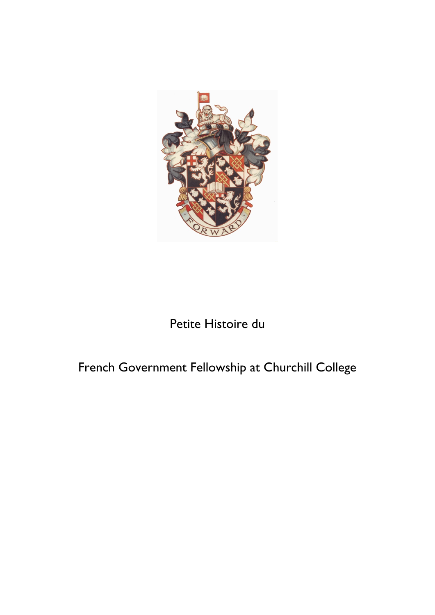

# Petite Histoire du

# French Government Fellowship at Churchill College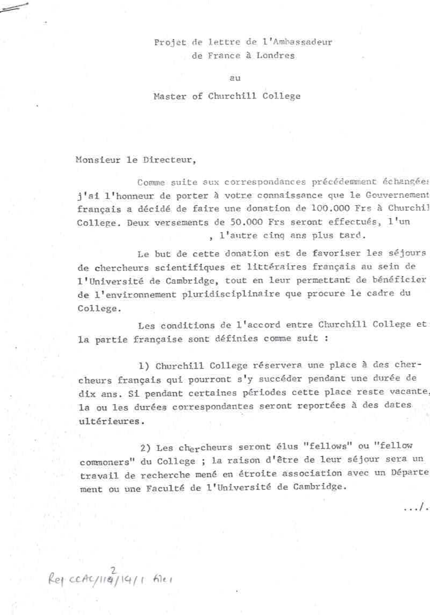Projet de lettre de l'Ambassadeur de France à Londres

211

#### Master of Churchill College

Monsieur le Directeur,

Comme suite aux correspondances précédemment échangées j'ai l'honneur de porter à votre connaissance que le Gouvernement français a décidé de faire une donation de 100.000 Frs à Churchil College. Deux versements de 50.000 Frs seront effectués, l'un , l'autre cinq ans plus tard.

Le but de cette donation est de favoriser les séjours de chercheurs scientifiques et littéraires français au sein de l'Université de Cambridge, tout en leur permettant de bénéficier de l'environnement pluridisciplinaire que procure le cadre du College.

Les conditions de l'accord entre Churchill College et la partie française sont définies comme suit :

1) Churchill College réservera une place à des chercheurs français qui pourront s'y succéder pendant une durée de dix ans. Si pendant certaines périodes cette place reste vacante, la ou les durées correspondantes seront reportées à des dates ultérieures.

2) Les chercheurs seront élus "fellows" ou "fellow commoners" du College ; la raison d'être de leur séjour sera un travail de recherche mené en étroite association avec un Départe ment ou une Faculté de l'Université de Cambridge.

. . . / .

 $Re\$  ccAc/119/14/1 file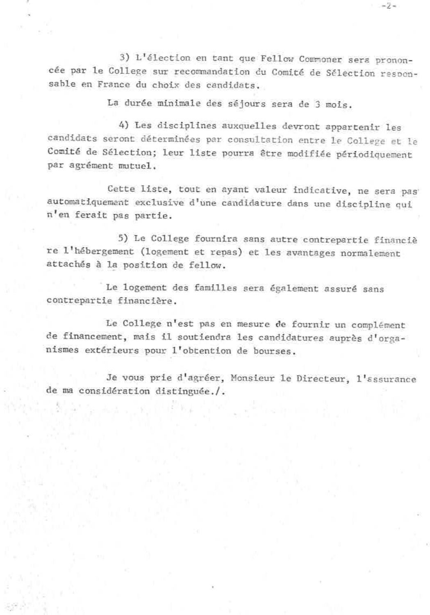3) L'élection en tant que Fellow Commoner sera prononcée par le College sur recommandation du Comité de Sélection responsable en France du choix des candidats.

÷Ž÷

La durée minimale des séjours sera de 3 mois.

4) Les disciplines auxquelles devront appartenir les candidats seront déterminées par consultation entre le College et le Comité de Sélection; leur liste pourra être modifiée périodiquement par agrément mutuel.

Cette liste, tout en ayant valeur indicative, ne sera pas' automatiquement exclusive d'une candidature dans une discipline qui n'en ferait pas partie.

5) Le College fournira sans autre contrepartie financiè re l'hébergement (logement et repas) et les avantages normalement attachés à la position de fellow.

Le logement des familles sera également assuré sans contrepartie financière.

Le College n'est pas en mesure de fournir un complément de financement, mais il soutiendra les candidatures auprès d'organismes extérieurs pour l'obtention de bourses.

Je vous prie d'agréer, Monsieur le Directeur, l'assurance de ma considération distinguée./.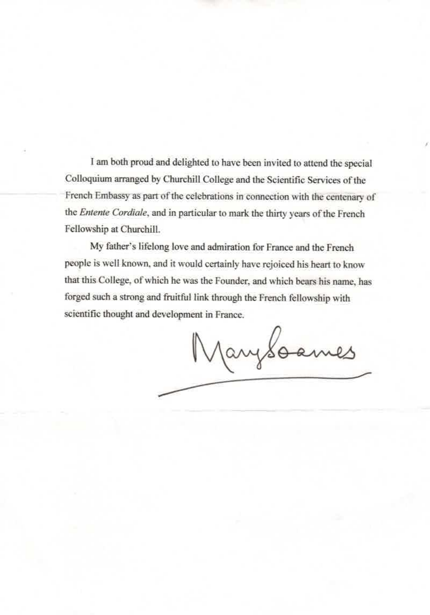I am both proud and delighted to have been invited to attend the special Colloquium arranged by Churchill College and the Scientific Services of the French Embassy as part of the celebrations in connection with the centenary of the Entente Cordiale, and in particular to mark the thirty years of the French Fellowship at Churchill.

My father's lifelong love and admiration for France and the French people is well known, and it would certainly have rejoiced his heart to know that this College, of which he was the Founder, and which bears his name, has forged such a strong and fruitful link through the French fellowship with scientific thought and development in France.

Marysoames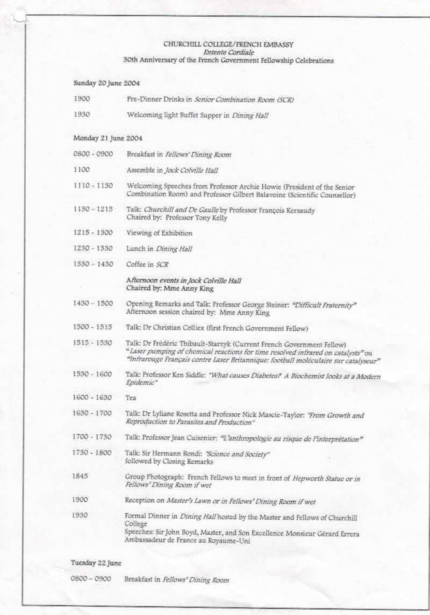#### CHURCHILL COLLEGE/FRENCH EMBASSY Entente Cordiale 30th Anniversary of the French Government Fellowship Celebrations

Sunday 20 June 2004 1900 Pre-Dinner Drinks in Senior Combination Room (SCR) 1930 Welcoming light Buffet Supper in Dining Hall Monday 21 June 2004 0800 - 0900 Breakfast in Fellows' Dining Room 1100 Assemble in Jock Colville Hall 1110-1130 Welcoming Speeches from Professor Archie Howie (President of the Senior Combination Room) and Professor Gilbert Balavoine (Scientific Counsellor) 1130 + 1215 Talk: Churchill and De Gaulle by Professor François Kersaudy Chaired by: Professor Tony Kelly 1215 - 1300 Viewing of Exhibition 1230 - 1330 Lunch in Dining Hall 1330-1430 Coffee in SCR Afternoon events in Jock Colville Hall Chaired by: Mme Anny King Opening Remarks and Talk: Professor George Steiner: "Difficult Fraternity"  $1430 - 1500$ Afternoon session chaired by: Mme Anny King 1500 - 1515 Talk: Dr Christian Colliex (first French Government Fellow) 1515 - 1530 Talk: Dr Frédéric Thibault-Starzyk (Current French Government Fellow) "Laser pumping of chemical reactions for time resolved infrared on catalysts" ou "Infrarouge Français contre Laser Britannique: football moléculaire sur catalyseur" 1530 - 1600 Talk: Professor Ken Siddle: "What causes Diabetes? A Biochemist looks at a Modern Epidemic\* 1600 - 1630 Tea 1630 - 1700 Talk: Dr Lyliane Rosetta and Professor Nick Mascie-Taylor: "From Growth and Reproduction to Parasites and Production® 1700 - 1730 Talk: Professor Jean Cuisenier: "L'anthropologie au risque de l'interprétation" 1730 - 1800 Talk: Sir Hermann Bondi: "Science and Society" followed by Closing Remarks 1845 Group Photograph: French Fellows to meet in front of Hepworth Statue or in Fellows' Dining Room if wet  $1900$ Reception on Master's Lawn or in Fellows' Dining Room if wet 1930 Formal Dinner in Dining Hall hosted by the Master and Fellows of Churchill College Speeches: Sir John Boyd, Master, and Son Excellence Monsieur Gérard Errera Ambassadeur de France au Royaume-Uni

Tuesday 22 June

0800-0900 Breakfast in Fellows' Dining Room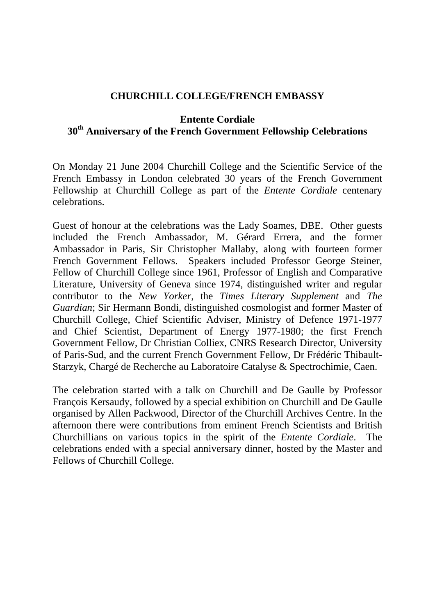## **CHURCHILL COLLEGE/FRENCH EMBASSY**

## **Entente Cordiale 30th Anniversary of the French Government Fellowship Celebrations**

On Monday 21 June 2004 Churchill College and the Scientific Service of the French Embassy in London celebrated 30 years of the French Government Fellowship at Churchill College as part of the *Entente Cordiale* centenary celebrations.

Guest of honour at the celebrations was the Lady Soames, DBE. Other guests included the French Ambassador, M. Gérard Errera, and the former Ambassador in Paris, Sir Christopher Mallaby, along with fourteen former French Government Fellows. Speakers included Professor George Steiner, Fellow of Churchill College since 1961, Professor of English and Comparative Literature, University of Geneva since 1974, distinguished writer and regular contributor to the *New Yorker*, the *Times Literary Supplement* and *The Guardian*; Sir Hermann Bondi, distinguished cosmologist and former Master of Churchill College, Chief Scientific Adviser, Ministry of Defence 1971-1977 and Chief Scientist, Department of Energy 1977-1980; the first French Government Fellow, Dr Christian Colliex, CNRS Research Director, University of Paris-Sud, and the current French Government Fellow, Dr Frédéric Thibault-Starzyk, Chargé de Recherche au Laboratoire Catalyse & Spectrochimie, Caen.

The celebration started with a talk on Churchill and De Gaulle by Professor François Kersaudy, followed by a special exhibition on Churchill and De Gaulle organised by Allen Packwood, Director of the Churchill Archives Centre. In the afternoon there were contributions from eminent French Scientists and British Churchillians on various topics in the spirit of the *Entente Cordiale*. celebrations ended with a special anniversary dinner, hosted by the Master and Fellows of Churchill College.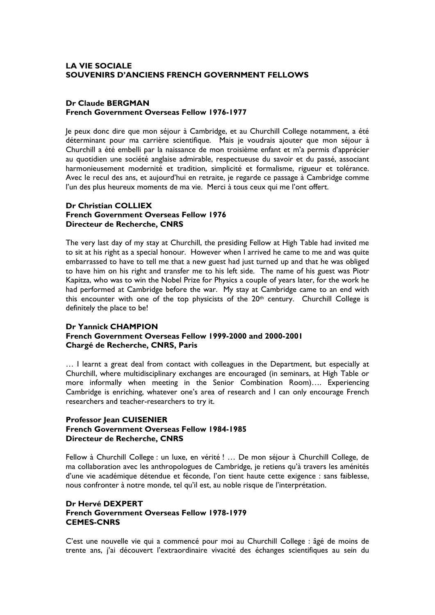#### **LA VIE SOCIALE SOUVENIRS D'ANCIENS FRENCH GOVERNMENT FELLOWS**

#### **Dr Claude BERGMAN French Government Overseas Fellow 1976-1977**

Je peux donc dire que mon séjour à Cambridge, et au Churchill College notamment, a été déterminant pour ma carrière scientifique. Mais je voudrais ajouter que mon séjour à Churchill a été embelli par la naissance de mon troisième enfant et m'a permis d'apprécier au quotidien une société anglaise admirable, respectueuse du savoir et du passé, associant harmonieusement modernité et tradition, simplicité et formalisme, rigueur et tolérance. Avec le recul des ans, et aujourd'hui en retraite, je regarde ce passage à Cambridge comme l'un des plus heureux moments de ma vie. Merci à tous ceux qui me l'ont offert.

#### **Dr Christian COLLIEX French Government Overseas Fellow 1976 Directeur de Recherche, CNRS**

The very last day of my stay at Churchill, the presiding Fellow at High Table had invited me to sit at his right as a special honour. However when I arrived he came to me and was quite embarrassed to have to tell me that a new guest had just turned up and that he was obliged to have him on his right and transfer me to his left side. The name of his guest was Piotr Kapitza, who was to win the Nobel Prize for Physics a couple of years later, for the work he had performed at Cambridge before the war. My stay at Cambridge came to an end with this encounter with one of the top physicists of the 20th century. Churchill College is definitely the place to be!

#### **Dr Yannick CHAMPION**

#### **French Government Overseas Fellow 1999-2000 and 2000-2001 Chargé de Recherche, CNRS, Paris**

… I learnt a great deal from contact with colleagues in the Department, but especially at Churchill, where multidisciplinary exchanges are encouraged (in seminars, at High Table or more informally when meeting in the Senior Combination Room)…. Experiencing Cambridge is enriching, whatever one's area of research and I can only encourage French researchers and teacher-researchers to try it.

#### **Professor Jean CUISENIER French Government Overseas Fellow 1984-1985 Directeur de Recherche, CNRS**

Fellow à Churchill College : un luxe, en vérité ! … De mon séjour à Churchill College, de ma collaboration avec les anthropologues de Cambridge, je retiens qu'à travers les aménités d'une vie académique détendue et féconde, l'on tient haute cette exigence : sans faiblesse, nous confronter à notre monde, tel qu'il est, au noble risque de l'interprétation.

#### **Dr Hervé DEXPERT French Government Overseas Fellow 1978-1979 CEMES-CNRS**

C'est une nouvelle vie qui a commencé pour moi au Churchill College : âgé de moins de trente ans, j'ai découvert l'extraordinaire vivacité des échanges scientifiques au sein du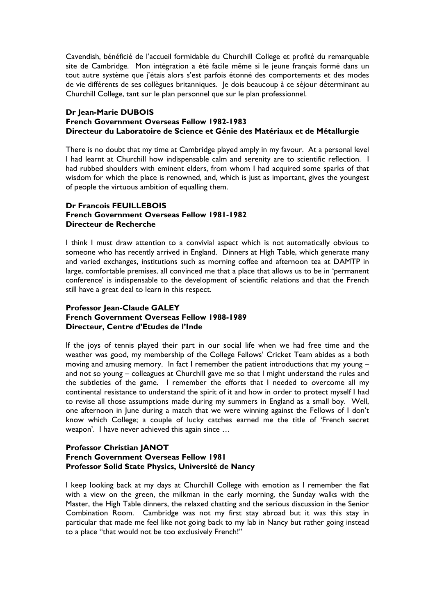Cavendish, bénéficié de l'accueil formidable du Churchill College et profité du remarquable site de Cambridge. Mon intégration a été facile même si le jeune français formé dans un tout autre système que j'étais alors s'est parfois étonné des comportements et des modes de vie différents de ses collègues britanniques. Je dois beaucoup à ce séjour déterminant au Churchill College, tant sur le plan personnel que sur le plan professionnel.

#### **Dr Jean-Marie DUBOIS**

### **French Government Overseas Fellow 1982-1983 Directeur du Laboratoire de Science et Génie des Matériaux et de Métallurgie**

There is no doubt that my time at Cambridge played amply in my favour. At a personal level I had learnt at Churchill how indispensable calm and serenity are to scientific reflection. I had rubbed shoulders with eminent elders, from whom I had acquired some sparks of that wisdom for which the place is renowned, and, which is just as important, gives the youngest of people the virtuous ambition of equalling them.

#### **Dr Francois FFUILLEBOIS French Government Overseas Fellow 1981-1982 Directeur de Recherche**

I think I must draw attention to a convivial aspect which is not automatically obvious to someone who has recently arrived in England. Dinners at High Table, which generate many and varied exchanges, institutions such as morning coffee and afternoon tea at DAMTP in large, comfortable premises, all convinced me that a place that allows us to be in 'permanent conference' is indispensable to the development of scientific relations and that the French still have a great deal to learn in this respect.

### **Professor Jean-Claude GALEY French Government Overseas Fellow 1988-1989 Directeur, Centre d'Etudes de l'Inde**

If the joys of tennis played their part in our social life when we had free time and the weather was good, my membership of the College Fellows' Cricket Team abides as a both moving and amusing memory. In fact I remember the patient introductions that my young – and not so young – colleagues at Churchill gave me so that I might understand the rules and the subtleties of the game. I remember the efforts that I needed to overcome all my continental resistance to understand the spirit of it and how in order to protect myself I had to revise all those assumptions made during my summers in England as a small boy. Well, one afternoon in June during a match that we were winning against the Fellows of I don't know which College; a couple of lucky catches earned me the title of 'French secret weapon'. I have never achieved this again since …

#### **Professor Christian JANOT French Government Overseas Fellow 1981 Professor Solid State Physics, Université de Nancy**

I keep looking back at my days at Churchill College with emotion as I remember the flat with a view on the green, the milkman in the early morning, the Sunday walks with the Master, the High Table dinners, the relaxed chatting and the serious discussion in the Senior Combination Room. Cambridge was not my first stay abroad but it was this stay in particular that made me feel like not going back to my lab in Nancy but rather going instead to a place "that would not be too exclusively French!"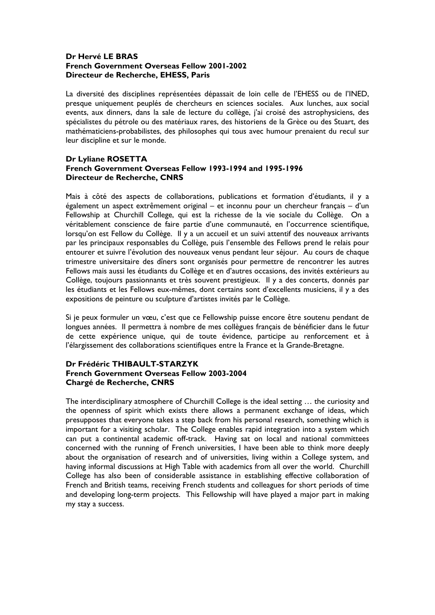#### **Dr Hervé LE BRAS French Government Overseas Fellow 2001-2002 Directeur de Recherche, EHESS, Paris**

La diversité des disciplines représentées dépassait de loin celle de l'EHESS ou de l'INED, presque uniquement peuplés de chercheurs en sciences sociales. Aux lunches, aux social events, aux dinners, dans la sale de lecture du collège, j'ai croisé des astrophysiciens, des spécialistes du pétrole ou des matériaux rares, des historiens de la Grèce ou des Stuart, des mathématiciens-probabilistes, des philosophes qui tous avec humour prenaient du recul sur leur discipline et sur le monde.

#### **Dr Lyliane ROSETTA French Government Overseas Fellow 1993-1994 and 1995-1996 Directeur de Recherche, CNRS**

Mais à côté des aspects de collaborations, publications et formation d'étudiants, il y a également un aspect extrêmement original – et inconnu pour un chercheur français – d'un Fellowship at Churchill College, qui est la richesse de la vie sociale du Collège. On a véritablement conscience de faire partie d'une communauté, en l'occurrence scientifique, lorsqu'on est Fellow du Collège. Il y a un accueil et un suivi attentif des nouveaux arrivants par les principaux responsables du Collège, puis l'ensemble des Fellows prend le relais pour entourer et suivre l'évolution des nouveaux venus pendant leur séjour. Au cours de chaque trimestre universitaire des dîners sont organisés pour permettre de rencontrer les autres Fellows mais aussi les étudiants du Collège et en d'autres occasions, des invités extérieurs au Collège, toujours passionnants et très souvent prestigieux. Il y a des concerts, donnés par les étudiants et les Fellows eux-mêmes, dont certains sont d'excellents musiciens, il y a des expositions de peinture ou sculpture d'artistes invités par le Collège.

Si je peux formuler un vœu, c'est que ce Fellowship puisse encore être soutenu pendant de longues années. Il permettra à nombre de mes collègues français de bénéficier dans le futur de cette expérience unique, qui de toute évidence, participe au renforcement et à l'élargissement des collaborations scientifiques entre la France et la Grande-Bretagne.

#### **Dr Frédéric THIBAULT-STARZYK French Government Overseas Fellow 2003-2004 Chargé de Recherche, CNRS**

The interdisciplinary atmosphere of Churchill College is the ideal setting … the curiosity and the openness of spirit which exists there allows a permanent exchange of ideas, which presupposes that everyone takes a step back from his personal research, something which is important for a visiting scholar. The College enables rapid integration into a system which can put a continental academic off-track. Having sat on local and national committees concerned with the running of French universities, I have been able to think more deeply about the organisation of research and of universities, living within a College system, and having informal discussions at High Table with academics from all over the world. Churchill College has also been of considerable assistance in establishing effective collaboration of French and British teams, receiving French students and colleagues for short periods of time and developing long-term projects. This Fellowship will have played a major part in making my stay a success.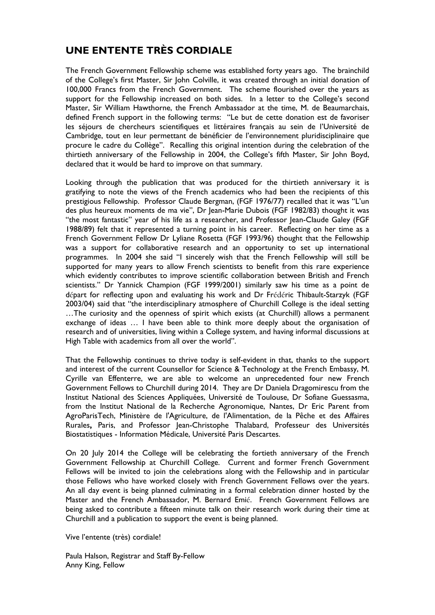## **UNE ENTENTE TRÈS CORDIALE**

The French Government Fellowship scheme was established forty years ago. The brainchild of the College's first Master, Sir John Colville, it was created through an initial donation of 100,000 Francs from the French Government. The scheme flourished over the years as support for the Fellowship increased on both sides. In a letter to the College's second Master, Sir William Hawthorne, the French Ambassador at the time, M. de Beaumarchais, defined French support in the following terms: "Le but de cette donation est de favoriser les séjours de chercheurs scientifiques et littéraires français au sein de l'Université de Cambridge, tout en leur permettant de bénéficier de l'environnement pluridisciplinaire que procure le cadre du Collège". Recalling this original intention during the celebration of the thirtieth anniversary of the Fellowship in 2004, the College's fifth Master, Sir John Boyd, declared that it would be hard to improve on that summary.

Looking through the publication that was produced for the thirtieth anniversary it is gratifying to note the views of the French academics who had been the recipients of this prestigious Fellowship. Professor Claude Bergman, (FGF 1976/77) recalled that it was "L'un des plus heureux moments de ma vie", Dr Jean-Marie Dubois (FGF 1982/83) thought it was "the most fantastic" year of his life as a researcher, and Professor Jean-Claude Galey (FGF 1988/89) felt that it represented a turning point in his career. Reflecting on her time as a French Government Fellow Dr Lyliane Rosetta (FGF 1993/96) thought that the Fellowship was a support for collaborative research and an opportunity to set up international programmes. In 2004 she said "I sincerely wish that the French Fellowship will still be supported for many years to allow French scientists to benefit from this rare experience which evidently contributes to improve scientific collaboration between British and French scientists." Dr Yannick Champion (FGF 1999/2001) similarly saw his time as a point de départ for reflecting upon and evaluating his work and Dr Frédéric Thibault-Starzyk (FGF 2003/04) said that "the interdisciplinary atmosphere of Churchill College is the ideal setting …The curiosity and the openness of spirit which exists (at Churchill) allows a permanent exchange of ideas … I have been able to think more deeply about the organisation of research and of universities, living within a College system, and having informal discussions at High Table with academics from all over the world".

That the Fellowship continues to thrive today is self-evident in that, thanks to the support and interest of the current Counsellor for Science & Technology at the French Embassy, M. Cyrille van Effenterre, we are able to welcome an unprecedented four new French Government Fellows to Churchill during 2014. They are Dr Daniela Dragomirescu from the Institut National des Sciences Appliquées, Université de Toulouse, Dr Sofiane Guessasma, from the Institut National de la Recherche Agronomique, Nantes, Dr Eric Parent from AgroParisTech, Ministère de l'Agriculture, de l'Alimentation, de la Pêche et des Affaires Rurales**,** Paris, and Professor Jean-Christophe Thalabard, Professeur des Universités Biostatistiques - Information Médicale, Université Paris Descartes.

On 20 July 2014 the College will be celebrating the fortieth anniversary of the French Government Fellowship at Churchill College. Current and former French Government Fellows will be invited to join the celebrations along with the Fellowship and in particular those Fellows who have worked closely with French Government Fellows over the years. An all day event is being planned culminating in a formal celebration dinner hosted by the Master and the French Ambassador, M. Bernard Emié. French Government Fellows are being asked to contribute a fifteen minute talk on their research work during their time at Churchill and a publication to support the event is being planned.

Vive l'entente (très) cordiale!

Paula Halson, Registrar and Staff By-Fellow Anny King, Fellow